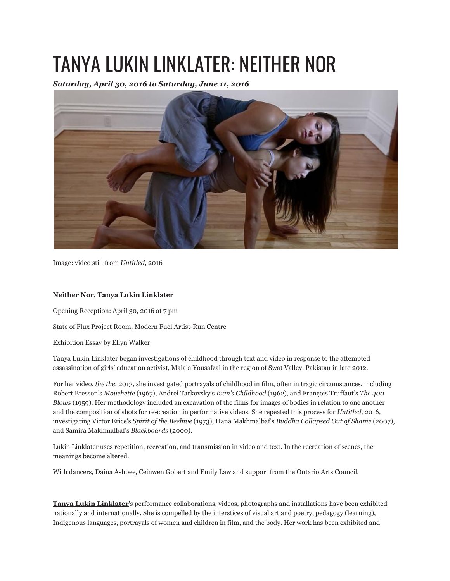## TANYA LUKIN LINKLATER: NEITHER NOR

*Saturday, April 30, 2016 to Saturday, June 11, 2016*



Image: video still from *Untitled*, 2016

## **Neither Nor, Tanya Lukin Linklater**

Opening Reception: April 30, 2016 at 7 pm

State of Flux Project Room, Modern Fuel Artist-Run Centre

Exhibition Essay by Ellyn Walker

Tanya Lukin Linklater began investigations of childhood through text and video in response to the attempted assassination of girls' education activist, Malala Yousafzai in the region of Swat Valley, Pakistan in late 2012.

For her video, *the the*, 2013, she investigated portrayals of childhood in film, often in tragic circumstances, including Robert Bresson's *Mouchette* (1967), Andrei Tarkovsky's *Ivan's Childhood* (1962), and François Truffaut's *The 400 Blows* (1959). Her methodology included an excavation of the films for images of bodies in relation to one another and the composition of shots for re-creation in performative videos. She repeated this process for *Untitled*, 2016, investigating Victor Erice's *Spirit of the Beehive* (1973), Hana Makhmalbaf's *Buddha Collapsed Out of Shame* (2007), and Samira Makhmalbaf's *Blackboards* (2000).

Lukin Linklater uses repetition, recreation, and transmission in video and text. In the recreation of scenes, the meanings become altered.

With dancers, Daina Ashbee, Ceinwen Gobert and Emily Law and support from the Ontario Arts Council.

**Tanya Lukin Linklater**'s performance collaborations, videos, photographs and installations have been exhibited nationally and internationally. She is compelled by the interstices of visual art and poetry, pedagogy (learning), Indigenous languages, portrayals of women and children in film, and the body. Her work has been exhibited and